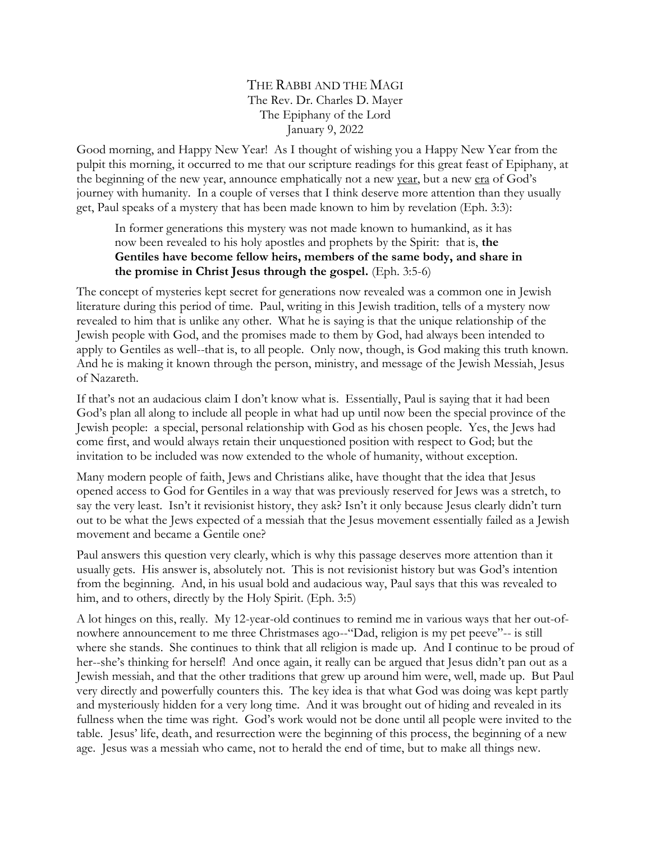THE RABBI AND THE MAGI The Rev. Dr. Charles D. Mayer The Epiphany of the Lord January 9, 2022

Good morning, and Happy New Year! As I thought of wishing you a Happy New Year from the pulpit this morning, it occurred to me that our scripture readings for this great feast of Epiphany, at the beginning of the new year, announce emphatically not a new year, but a new era of God's journey with humanity. In a couple of verses that I think deserve more attention than they usually get, Paul speaks of a mystery that has been made known to him by revelation (Eph. 3:3):

In former generations this mystery was not made known to humankind, as it has now been revealed to his holy apostles and prophets by the Spirit: that is, **the Gentiles have become fellow heirs, members of the same body, and share in the promise in Christ Jesus through the gospel.** (Eph. 3:5-6)

The concept of mysteries kept secret for generations now revealed was a common one in Jewish literature during this period of time. Paul, writing in this Jewish tradition, tells of a mystery now revealed to him that is unlike any other. What he is saying is that the unique relationship of the Jewish people with God, and the promises made to them by God, had always been intended to apply to Gentiles as well--that is, to all people. Only now, though, is God making this truth known. And he is making it known through the person, ministry, and message of the Jewish Messiah, Jesus of Nazareth.

If that's not an audacious claim I don't know what is. Essentially, Paul is saying that it had been God's plan all along to include all people in what had up until now been the special province of the Jewish people: a special, personal relationship with God as his chosen people. Yes, the Jews had come first, and would always retain their unquestioned position with respect to God; but the invitation to be included was now extended to the whole of humanity, without exception.

Many modern people of faith, Jews and Christians alike, have thought that the idea that Jesus opened access to God for Gentiles in a way that was previously reserved for Jews was a stretch, to say the very least. Isn't it revisionist history, they ask? Isn't it only because Jesus clearly didn't turn out to be what the Jews expected of a messiah that the Jesus movement essentially failed as a Jewish movement and became a Gentile one?

Paul answers this question very clearly, which is why this passage deserves more attention than it usually gets. His answer is, absolutely not. This is not revisionist history but was God's intention from the beginning. And, in his usual bold and audacious way, Paul says that this was revealed to him, and to others, directly by the Holy Spirit. (Eph. 3:5)

A lot hinges on this, really. My 12-year-old continues to remind me in various ways that her out-ofnowhere announcement to me three Christmases ago--"Dad, religion is my pet peeve"-- is still where she stands. She continues to think that all religion is made up. And I continue to be proud of her--she's thinking for herself! And once again, it really can be argued that Jesus didn't pan out as a Jewish messiah, and that the other traditions that grew up around him were, well, made up. But Paul very directly and powerfully counters this. The key idea is that what God was doing was kept partly and mysteriously hidden for a very long time. And it was brought out of hiding and revealed in its fullness when the time was right. God's work would not be done until all people were invited to the table. Jesus' life, death, and resurrection were the beginning of this process, the beginning of a new age. Jesus was a messiah who came, not to herald the end of time, but to make all things new.